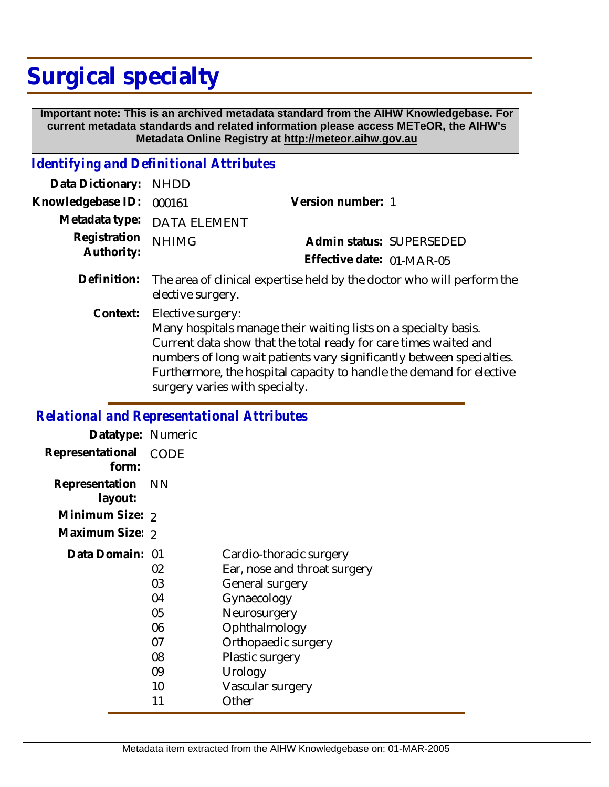# **Surgical specialty**

 **Important note: This is an archived metadata standard from the AIHW Knowledgebase. For current metadata standards and related information please access METeOR, the AIHW's Metadata Online Registry at http://meteor.aihw.gov.au**

### *Identifying and Definitional Attributes*

| Data Dictionary: NHDD      |                                                                                                                                                                                                                                                                                                                                                                             |                                                       |  |
|----------------------------|-----------------------------------------------------------------------------------------------------------------------------------------------------------------------------------------------------------------------------------------------------------------------------------------------------------------------------------------------------------------------------|-------------------------------------------------------|--|
| Knowledgebase ID:          | 000161                                                                                                                                                                                                                                                                                                                                                                      | Version number: 1                                     |  |
|                            | Metadata type: DATA ELEMENT                                                                                                                                                                                                                                                                                                                                                 |                                                       |  |
| Registration<br>Authority: | <b>NHIMG</b>                                                                                                                                                                                                                                                                                                                                                                | Admin status: SUPERSEDED<br>Effective date: 01-MAR-05 |  |
|                            | Definition: The area of clinical expertise held by the doctor who will perform the<br>elective surgery.                                                                                                                                                                                                                                                                     |                                                       |  |
|                            | $\bigcap$ and $\bigcup$ $\bigcup$ $\bigcup$ $\bigcup$ $\bigcup$ $\bigcup$ $\bigcup$ $\bigcup$ $\bigcup$ $\bigcup$ $\bigcup$ $\bigcup$ $\bigcup$ $\bigcup$ $\bigcup$ $\bigcup$ $\bigcup$ $\bigcup$ $\bigcup$ $\bigcup$ $\bigcup$ $\bigcup$ $\bigcup$ $\bigcup$ $\bigcup$ $\bigcup$ $\bigcup$ $\bigcup$ $\bigcup$ $\bigcup$ $\bigcup$ $\bigcup$ $\bigcup$ $\bigcup$ $\bigcup$ |                                                       |  |

Context: Elective surgery: Many hospitals manage their waiting lists on a specialty basis. Current data show that the total ready for care times waited and numbers of long wait patients vary significantly between specialties. Furthermore, the hospital capacity to handle the demand for elective surgery varies with specialty.

#### *Relational and Representational Attributes*

| Datatype: Numeric         |           |                              |
|---------------------------|-----------|------------------------------|
| Representational<br>form: | CODE      |                              |
| Representation<br>layout: | <b>NN</b> |                              |
| Minimum Size: 2           |           |                              |
| Maximum Size: 2           |           |                              |
| Data Domain: 01           |           | Cardio-thoracic surgery      |
|                           | 02        | Ear, nose and throat surgery |
|                           | 03        | General surgery              |
|                           | 04        | Gynaecology                  |
|                           | 05        | Neurosurgery                 |
|                           | 06        | Ophthalmology                |
|                           | 07        | Orthopaedic surgery          |
|                           | 08        | Plastic surgery              |
|                           | 09        | Urology                      |
|                           | 10        | Vascular surgery             |
|                           | 11        | Other                        |